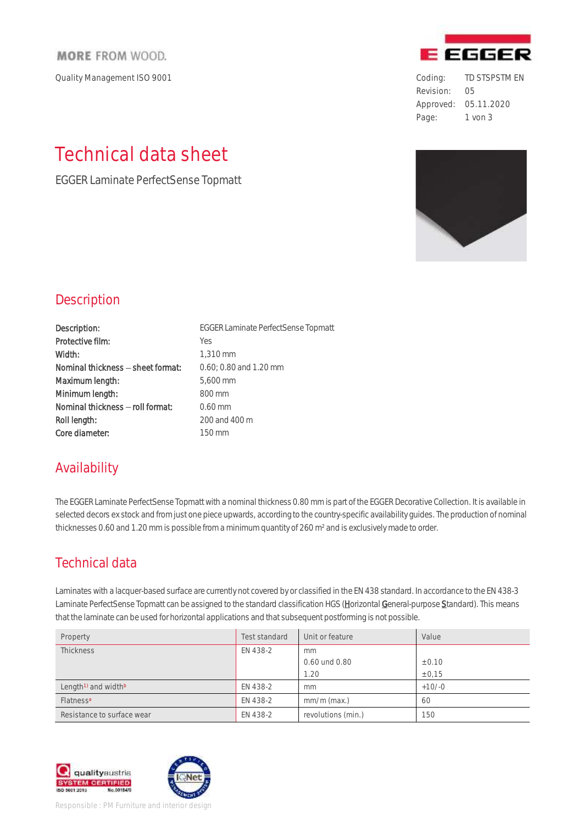#### **MORE FROM WOOD.**

Quality Management ISO 9001 **Coding:** TD STSPSTM EN

# Technical data sheet

EGGER Laminate PerfectSense Topmatt



Revision: 05 Approved: 05.11.2020 Page: 1 von 3



#### **Description**

| Description:                      | <b>EGGERLa</b> |
|-----------------------------------|----------------|
| Protective film:                  | <b>Yes</b>     |
| Width:                            | 1,310 mr       |
| Nominal thickness - sheet format: | 0.60; 0.8      |
| Maximum length:                   | 5,600 mi       |
| Minimum length:                   | 800 mm         |
| Nominal thickness - roll format:  | $0.60$ mm      |
| Roll length:                      | $200$ and      |
| Core diameter:                    | 150 mm         |

EGGER Laminate PerfectSense Topmatt 1,310 mm 0.60; 0.80 and 1.20 mm 5,600 mm  $800$  mm  $0.60$  mm 200 and 400 m

## Availability

The EGGER Laminate PerfectSense Topmatt with a nominal thickness 0.80 mm is part of the EGGER Decorative Collection. It is available in selected decors ex stock and from just one piece upwards, according to the country-specific availability guides. The production of nominal thicknesses 0.60 and 1.20 mm is possible from a minimum quantity of 260 m² and is exclusively made to order.

# Technical data

Laminates with a lacquer-based surface are currently not covered by or classified in the EN 438 standard. In accordance to the EN 438-3 Laminate PerfectSense Topmatt can be assigned to the standard classification HGS (Horizontal General-purpose Standard). This means that the laminate can be used for horizontal applications and that subsequent postforming is not possible.

| Property                                    | Test standard | Unit or feature    | Value    |
|---------------------------------------------|---------------|--------------------|----------|
| <b>Thickness</b>                            | EN 438-2      | mm                 |          |
|                                             |               | 0.60 und 0.80      | ± 0.10   |
|                                             |               | 1.20               | ± 0.15   |
| Length <sup>1)</sup> and width <sup>b</sup> | EN 438-2      | mm                 | $+10/-0$ |
| Flatness <sup>a</sup>                       | EN 438-2      | $mm/m$ (max.)      | 60       |
| Resistance to surface wear                  | EN 438-2      | revolutions (min.) | 150      |

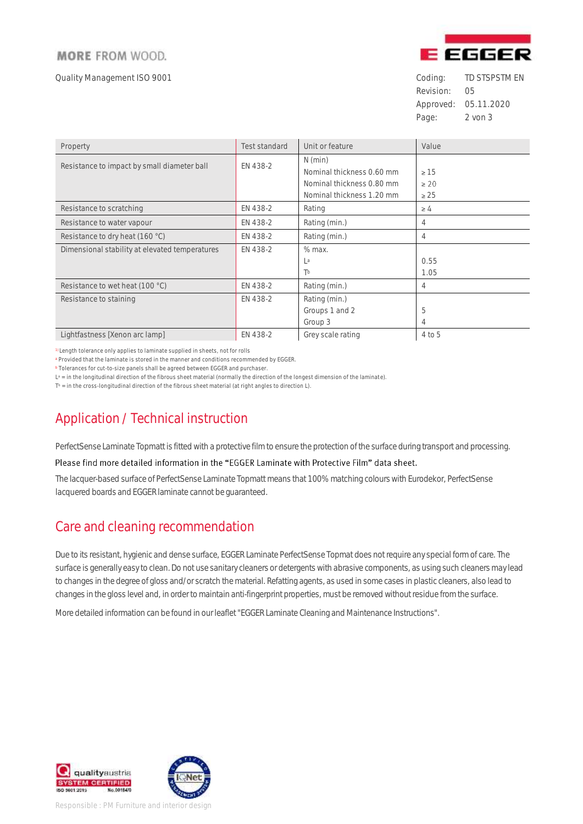#### **MORE FROM WOOD.**

Quality Management ISO 9001 **Coding:** TD STSPSTM EN



Revision: 05 Approved: 05.11.2020 Page: 2 von 3

| Property                                       | <b>Test standard</b> | Unit or feature           | Value     |
|------------------------------------------------|----------------------|---------------------------|-----------|
| Resistance to impact by small diameter ball    | EN 438-2             | $N$ (min)                 |           |
|                                                |                      | Nominal thickness 0.60 mm | $\geq 15$ |
|                                                |                      | Nominal thickness 0.80 mm | $\geq 20$ |
|                                                |                      | Nominal thickness 1.20 mm | $\geq 25$ |
| Resistance to scratching                       | EN 438-2             | Rating                    | $\geq 4$  |
| Resistance to water vapour                     | EN 438-2             | Rating (min.)             | 4         |
| Resistance to dry heat (160 °C)                | EN 438-2             | Rating (min.)             | 4         |
| Dimensional stability at elevated temperatures | EN 438-2             | % max.                    |           |
|                                                |                      | La                        | 0.55      |
|                                                |                      | Tb                        | 1.05      |
| Resistance to wet heat (100 °C)                | EN 438-2             | Rating (min.)             | 4         |
| Resistance to staining                         | EN 438-2             | Rating (min.)             |           |
|                                                |                      | Groups 1 and 2            | 5         |
|                                                |                      | Group 3                   | 4         |
| Lightfastness [Xenon arc lamp]                 | EN 438-2             | Grey scale rating         | 4 to 5    |

<sup>1)</sup> Length tolerance only applies to laminate supplied in sheets, not for rolls

<sup>a</sup> Provided that the laminate is stored in the manner and conditions recommended by EGGER.

<sup>b</sup> Tolerances for cut-to-size panels shall be agreed between EGGER and purchaser.

L<sup>a</sup> = in the longitudinal direction of the fibrous sheet material (normally the direction of the longest dimension of the laminate).

 $T<sup>b</sup>$  = in the cross-longitudinal direction of the fibrous sheet material (at right angles to direction L).

# Application / Technical instruction

PerfectSense Laminate Topmatt is fitted with a protective film to ensure the protection of the surface during transport and processing.

#### Please find more detailed information in the "EGGER Laminate with Protective Film" data sheet.

The lacquer-based surface of PerfectSense Laminate Topmatt means that 100% matching colours with Eurodekor, PerfectSense lacquered boards and EGGER laminate cannot be guaranteed.

#### Care and cleaning recommendation

Due to its resistant, hygienic and dense surface, EGGER Laminate PerfectSense Topmat does not require any special form of care. The surface is generally easy to clean. Do not use sanitary cleaners or detergents with abrasive components, as using such cleaners may lead to changes in the degree of gloss and/or scratch the material. Refatting agents, as used in some cases in plastic cleaners, also lead to changes in the gloss level and, in order to maintain anti-fingerprint properties, must be removed without residue from the surface.

More detailed information can be found in our leaflet "EGGER Laminate Cleaning and Maintenance Instructions".